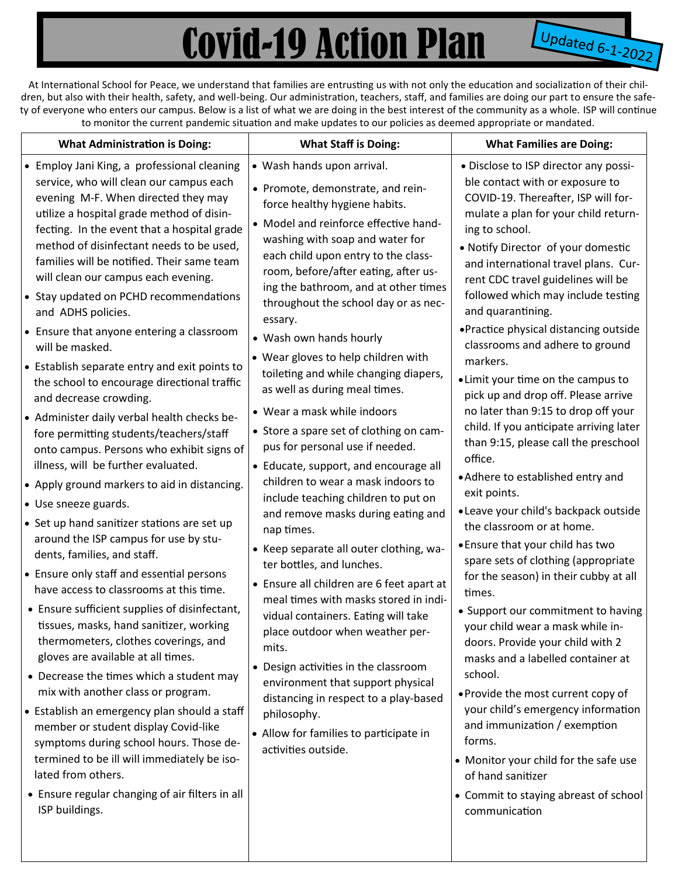## Covid-19 Action Plan

**Updated 6-1-2022** 

At International School for Peace, we understand that families are entrusting us with not only the education and socialization of their children, but also with their health, safety, and well-being. Our administration, teachers, staff, and families are doing our part to ensure the safety of everyone who enters our campus. Below is a list of what we are doing in the best interest of the community as a whole. ISP will continue to monitor the current pandemic situation and make updates to our policies as deemed appropriate or mandated.

| <b>What Administration is Doing:</b><br>• Employ Jani King, a professional cleaning<br>service, who will clean our campus each<br>evening M-F. When directed they may<br>utilize a hospital grade method of disin-<br>fecting. In the event that a hospital grade<br>method of disinfectant needs to be used,<br>families will be notified. Their same team<br>will clean our campus each evening.<br>• Stay updated on PCHD recommendations<br>and ADHS policies.<br>• Ensure that anyone entering a classroom<br>will be masked.<br>• Establish separate entry and exit points to<br>the school to encourage directional traffic<br>and decrease crowding.<br>• Administer daily verbal health checks be-<br>fore permitting students/teachers/staff<br>onto campus. Persons who exhibit signs of<br>illness, will be further evaluated.<br>• Apply ground markers to aid in distancing.<br>• Use sneeze guards.<br>• Set up hand sanitizer stations are set up<br>around the ISP campus for use by stu-<br>dents, families, and staff.<br>• Ensure only staff and essential persons<br>have access to classrooms at this time.<br>• Ensure sufficient supplies of disinfectant,<br>tissues, masks, hand sanitizer, working<br>thermometers, clothes coverings, and<br>gloves are available at all times.<br>• Decrease the times which a student may<br>mix with another class or program. | <b>What Staff is Doing:</b><br>• Wash hands upon arrival.<br>• Promote, demonstrate, and rein-<br>force healthy hygiene habits.<br>• Model and reinforce effective hand-<br>washing with soap and water for<br>each child upon entry to the class-<br>room, before/after eating, after us-<br>ing the bathroom, and at other times<br>throughout the school day or as nec-<br>essary.<br>• Wash own hands hourly<br>• Wear gloves to help children with<br>toileting and while changing diapers,<br>as well as during meal times.<br>• Wear a mask while indoors<br>• Store a spare set of clothing on cam-<br>pus for personal use if needed.<br>• Educate, support, and encourage all<br>children to wear a mask indoors to<br>include teaching children to put on<br>and remove masks during eating and<br>nap times.<br>• Keep separate all outer clothing, wa-<br>ter bottles, and lunches.<br>• Ensure all children are 6 feet apart at<br>meal times with masks stored in indi-<br>vidual containers. Eating will take<br>place outdoor when weather per-<br>mits.<br>• Design activities in the classroom<br>environment that support physical<br>distancing in respect to a play-based | <b>What Families are Doing:</b><br>• Disclose to ISP director any possi-<br>ble contact with or exposure to<br>COVID-19. Thereafter, ISP will for-<br>mulate a plan for your child return-<br>ing to school.<br>• Notify Director of your domestic<br>and international travel plans. Cur-<br>rent CDC travel guidelines will be<br>followed which may include testing<br>and quarantining.<br>• Practice physical distancing outside<br>classrooms and adhere to ground<br>markers.<br>• Limit your time on the campus to<br>pick up and drop off. Please arrive<br>no later than 9:15 to drop off your<br>child. If you anticipate arriving later<br>than 9:15, please call the preschool<br>office.<br>• Adhere to established entry and<br>exit points.<br>· Leave your child's backpack outside<br>the classroom or at home.<br>. Ensure that your child has two<br>spare sets of clothing (appropriate<br>for the season) in their cubby at all<br>times.<br>• Support our commitment to having<br>your child wear a mask while in-<br>doors. Provide your child with 2<br>masks and a labelled container at<br>school.<br>• Provide the most current copy of<br>your child's emergency information |
|-----------------------------------------------------------------------------------------------------------------------------------------------------------------------------------------------------------------------------------------------------------------------------------------------------------------------------------------------------------------------------------------------------------------------------------------------------------------------------------------------------------------------------------------------------------------------------------------------------------------------------------------------------------------------------------------------------------------------------------------------------------------------------------------------------------------------------------------------------------------------------------------------------------------------------------------------------------------------------------------------------------------------------------------------------------------------------------------------------------------------------------------------------------------------------------------------------------------------------------------------------------------------------------------------------------------------------------------------------------------------------------------------|-------------------------------------------------------------------------------------------------------------------------------------------------------------------------------------------------------------------------------------------------------------------------------------------------------------------------------------------------------------------------------------------------------------------------------------------------------------------------------------------------------------------------------------------------------------------------------------------------------------------------------------------------------------------------------------------------------------------------------------------------------------------------------------------------------------------------------------------------------------------------------------------------------------------------------------------------------------------------------------------------------------------------------------------------------------------------------------------------------------------------------------------------------------------------------------------------|-----------------------------------------------------------------------------------------------------------------------------------------------------------------------------------------------------------------------------------------------------------------------------------------------------------------------------------------------------------------------------------------------------------------------------------------------------------------------------------------------------------------------------------------------------------------------------------------------------------------------------------------------------------------------------------------------------------------------------------------------------------------------------------------------------------------------------------------------------------------------------------------------------------------------------------------------------------------------------------------------------------------------------------------------------------------------------------------------------------------------------------------------------------------------------------------------------------|
| • Establish an emergency plan should a staff<br>member or student display Covid-like<br>symptoms during school hours. Those de-<br>termined to be ill will immediately be iso-<br>lated from others.                                                                                                                                                                                                                                                                                                                                                                                                                                                                                                                                                                                                                                                                                                                                                                                                                                                                                                                                                                                                                                                                                                                                                                                          | philosophy.<br>• Allow for families to participate in<br>activities outside.                                                                                                                                                                                                                                                                                                                                                                                                                                                                                                                                                                                                                                                                                                                                                                                                                                                                                                                                                                                                                                                                                                                    | and immunization / exemption<br>forms.<br>• Monitor your child for the safe use<br>of hand sanitizer                                                                                                                                                                                                                                                                                                                                                                                                                                                                                                                                                                                                                                                                                                                                                                                                                                                                                                                                                                                                                                                                                                      |
| • Ensure regular changing of air filters in all<br>ISP buildings.                                                                                                                                                                                                                                                                                                                                                                                                                                                                                                                                                                                                                                                                                                                                                                                                                                                                                                                                                                                                                                                                                                                                                                                                                                                                                                                             |                                                                                                                                                                                                                                                                                                                                                                                                                                                                                                                                                                                                                                                                                                                                                                                                                                                                                                                                                                                                                                                                                                                                                                                                 | • Commit to staying abreast of school<br>communication                                                                                                                                                                                                                                                                                                                                                                                                                                                                                                                                                                                                                                                                                                                                                                                                                                                                                                                                                                                                                                                                                                                                                    |